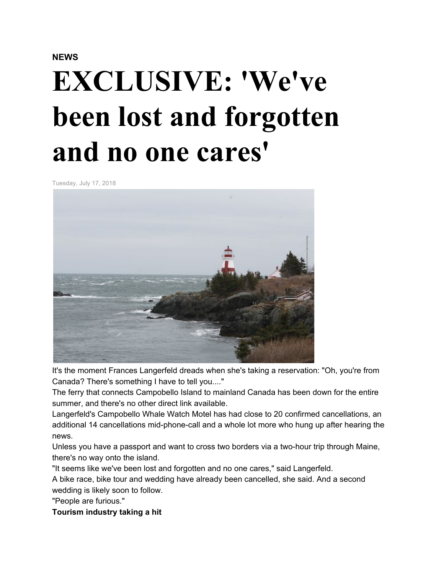## **NEWS**

# **EXCLUSIVE: 'We've been lost and forgotten and no one cares'**

Tuesday, July 17, 2018



It's the moment Frances Langerfeld dreads when she's taking a reservation: "Oh, you're from Canada? There's something I have to tell you...."

The ferry that connects Campobello Island to mainland Canada has been down for the entire summer, and there's no other direct link available.

Langerfeld's Campobello Whale Watch Motel has had close to 20 confirmed cancellations, an additional 14 cancellations mid-phone-call and a whole lot more who hung up after hearing the news.

Unless you have a passport and want to cross two borders via a two-hour trip through Maine, there's no way onto the island.

"It seems like we've been lost and forgotten and no one cares," said Langerfeld.

A bike race, bike tour and wedding have already been cancelled, she said. And a second wedding is likely soon to follow.

"People are furious."

**Tourism industry taking a hit**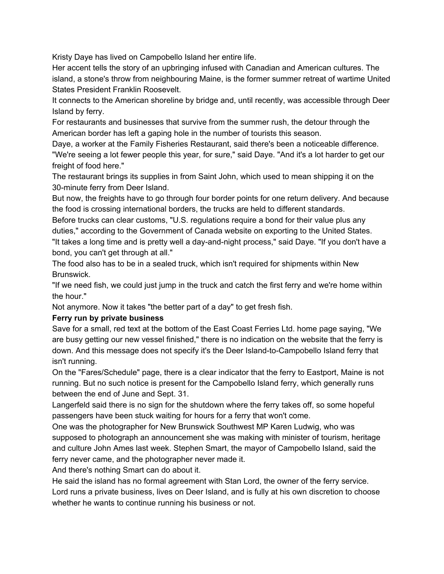Kristy Daye has lived on Campobello Island her entire life.

Her accent tells the story of an upbringing infused with Canadian and American cultures. The island, a stone's throw from neighbouring Maine, is the former summer retreat of wartime United States President Franklin Roosevelt.

It connects to the American shoreline by bridge and, until recently, was accessible through Deer Island by ferry.

For restaurants and businesses that survive from the summer rush, the detour through the American border has left a gaping hole in the number of tourists this season.

Daye, a worker at the Family Fisheries Restaurant, said there's been a noticeable difference. "We're seeing a lot fewer people this year, for sure," said Daye. "And it's a lot harder to get our freight of food here."

The restaurant brings its supplies in from Saint John, which used to mean shipping it on the 30-minute ferry from Deer Island.

But now, the freights have to go through four border points for one return delivery. And because the food is crossing international borders, the trucks are held to different standards.

Before trucks can clear customs, "U.S. regulations require a bond for their value plus any duties," according to the Government of Canada website on exporting to the United States. "It takes a long time and is pretty well a day-and-night process," said Daye. "If you don't have a bond, you can't get through at all."

The food also has to be in a sealed truck, which isn't required for shipments within New Brunswick.

"If we need fish, we could just jump in the truck and catch the first ferry and we're home within the hour."

Not anymore. Now it takes "the better part of a day" to get fresh fish.

#### **Ferry run by private business**

Save for a small, red text at the bottom of the East Coast Ferries Ltd. home page saying, "We are busy getting our new vessel finished," there is no indication on the website that the ferry is down. And this message does not specify it's the Deer Island-to-Campobello Island ferry that isn't running.

On the "Fares/Schedule" page, there is a clear indicator that the ferry to Eastport, Maine is not running. But no such notice is present for the Campobello Island ferry, which generally runs between the end of June and Sept. 31.

Langerfeld said there is no sign for the shutdown where the ferry takes off, so some hopeful passengers have been stuck waiting for hours for a ferry that won't come.

One was the photographer for New Brunswick Southwest MP Karen Ludwig, who was supposed to photograph an announcement she was making with minister of tourism, heritage and culture John Ames last week. Stephen Smart, the mayor of Campobello Island, said the ferry never came, and the photographer never made it.

And there's nothing Smart can do about it.

He said the island has no formal agreement with Stan Lord, the owner of the ferry service. Lord runs a private business, lives on Deer Island, and is fully at his own discretion to choose whether he wants to continue running his business or not.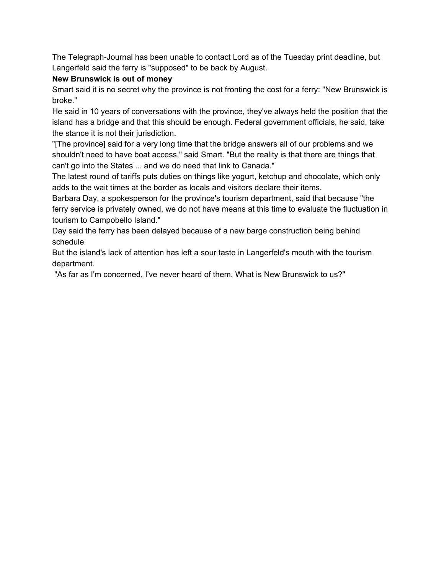The Telegraph-Journal has been unable to contact Lord as of the Tuesday print deadline, but Langerfeld said the ferry is "supposed" to be back by August.

## **New Brunswick is out of money**

Smart said it is no secret why the province is not fronting the cost for a ferry: "New Brunswick is broke."

He said in 10 years of conversations with the province, they've always held the position that the island has a bridge and that this should be enough. Federal government officials, he said, take the stance it is not their jurisdiction.

"[The province] said for a very long time that the bridge answers all of our problems and we shouldn't need to have boat access," said Smart. "But the reality is that there are things that can't go into the States ... and we do need that link to Canada."

The latest round of tariffs puts duties on things like yogurt, ketchup and chocolate, which only adds to the wait times at the border as locals and visitors declare their items.

Barbara Day, a spokesperson for the province's tourism department, said that because "the ferry service is privately owned, we do not have means at this time to evaluate the fluctuation in tourism to Campobello Island."

Day said the ferry has been delayed because of a new barge construction being behind schedule

But the island's lack of attention has left a sour taste in Langerfeld's mouth with the tourism department.

"As far as I'm concerned, I've never heard of them. What is New Brunswick to us?"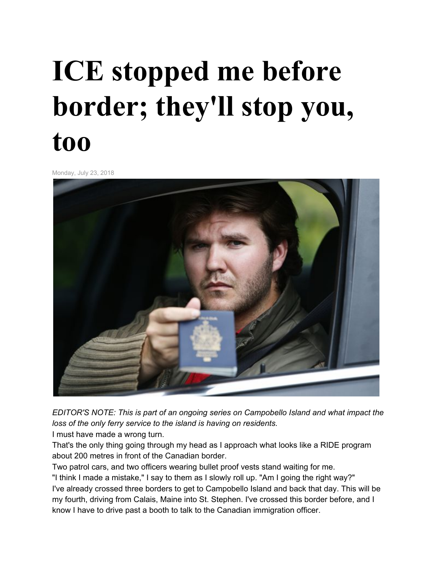# **ICE stopped me before border; they'll stop you, too**

Monday, July 23, 2018



*EDITOR'S NOTE: This is part of an ongoing series on Campobello Island and what impact the loss of the only ferry service to the island is having on residents.*

I must have made a wrong turn.

That's the only thing going through my head as I approach what looks like a RIDE program about 200 metres in front of the Canadian border.

Two patrol cars, and two officers wearing bullet proof vests stand waiting for me.

"I think I made a mistake," I say to them as I slowly roll up. "Am I going the right way?" I've already crossed three borders to get to Campobello Island and back that day. This will be my fourth, driving from Calais, Maine into St. Stephen. I've crossed this border before, and I know I have to drive past a booth to talk to the Canadian immigration officer.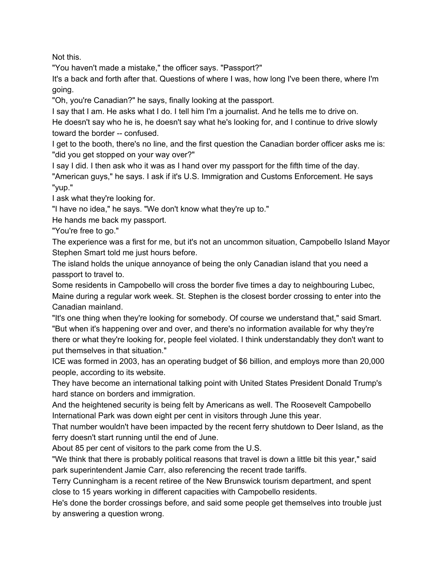Not this.

"You haven't made a mistake," the officer says. "Passport?"

It's a back and forth after that. Questions of where I was, how long I've been there, where I'm going.

"Oh, you're Canadian?" he says, finally looking at the passport.

I say that I am. He asks what I do. I tell him I'm a journalist. And he tells me to drive on. He doesn't say who he is, he doesn't say what he's looking for, and I continue to drive slowly toward the border -- confused.

I get to the booth, there's no line, and the first question the Canadian border officer asks me is: "did you get stopped on your way over?"

I say I did. I then ask who it was as I hand over my passport for the fifth time of the day. "American guys," he says. I ask if it's U.S. Immigration and Customs Enforcement. He says "yup."

I ask what they're looking for.

"I have no idea," he says. "We don't know what they're up to."

He hands me back my passport.

"You're free to go."

The experience was a first for me, but it's not an uncommon situation, Campobello Island Mayor Stephen Smart told me just hours before.

The island holds the unique annoyance of being the only Canadian island that you need a passport to travel to.

Some residents in Campobello will cross the border five times a day to neighbouring Lubec, Maine during a regular work week. St. Stephen is the closest border crossing to enter into the Canadian mainland.

"It's one thing when they're looking for somebody. Of course we understand that," said Smart. "But when it's happening over and over, and there's no information available for why they're there or what they're looking for, people feel violated. I think understandably they don't want to put themselves in that situation."

ICE was formed in 2003, has an operating budget of \$6 billion, and employs more than 20,000 people, according to its website.

They have become an international talking point with United States President Donald Trump's hard stance on borders and immigration.

And the heightened security is being felt by Americans as well. The Roosevelt Campobello International Park was down eight per cent in visitors through June this year.

That number wouldn't have been impacted by the recent ferry shutdown to Deer Island, as the ferry doesn't start running until the end of June.

About 85 per cent of visitors to the park come from the U.S.

"We think that there is probably political reasons that travel is down a little bit this year," said park superintendent Jamie Carr, also referencing the recent trade tariffs.

Terry Cunningham is a recent retiree of the New Brunswick tourism department, and spent close to 15 years working in different capacities with Campobello residents.

He's done the border crossings before, and said some people get themselves into trouble just by answering a question wrong.